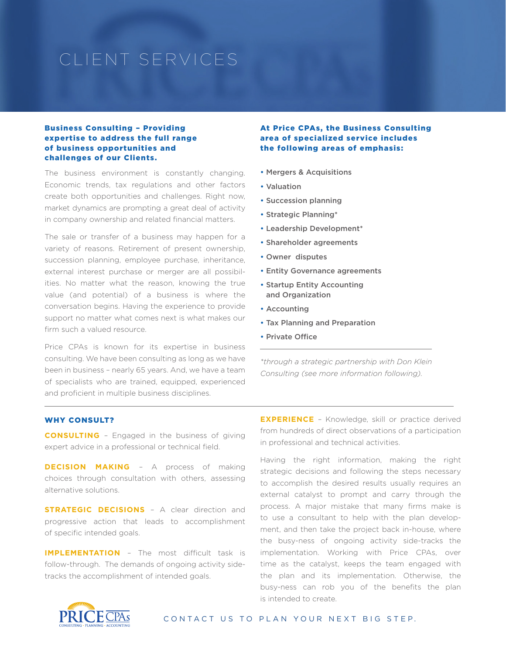# CLIENT SERVICES

#### Business Consulting – Providing expertise to address the full range of business opportunities and challenges of our Clients.

The business environment is constantly changing. Economic trends, tax regulations and other factors create both opportunities and challenges. Right now, market dynamics are prompting a great deal of activity in company ownership and related financial matters.

The sale or transfer of a business may happen for a variety of reasons. Retirement of present ownership, succession planning, employee purchase, inheritance, external interest purchase or merger are all possibilities. No matter what the reason, knowing the true value (and potential) of a business is where the conversation begins. Having the experience to provide support no matter what comes next is what makes our firm such a valued resource.

Price CPAs is known for its expertise in business consulting. We have been consulting as long as we have been in business – nearly 65 years. And, we have a team of specialists who are trained, equipped, experienced and proficient in multiple business disciplines.

At Price CPAs, the Business Consulting area of specialized service includes the following areas of emphasis:

- Mergers & Acquisitions
- Valuation
- Succession planning
- Strategic Planning\*
- Leadership Development\*
- Shareholder agreements
- Owner disputes
- Entity Governance agreements
- Startup Entity Accounting and Organization
- Accounting
- Tax Planning and Preparation
- Private Office

*\*through a strategic partnership with Don Klein Consulting (see more information following).*

#### WHY CONSULT?

**CONSULTING** – Engaged in the business of giving expert advice in a professional or technical field.

**DECISION MAKING** – A process of making choices through consultation with others, assessing alternative solutions.

**STRATEGIC DECISIONS** - A clear direction and progressive action that leads to accomplishment of specific intended goals.

**IMPLEMENTATION** – The most difficult task is follow-through. The demands of ongoing activity sidetracks the accomplishment of intended goals.

**EXPERIENCE** - Knowledge, skill or practice derived from hundreds of direct observations of a participation in professional and technical activities.

Having the right information, making the right strategic decisions and following the steps necessary to accomplish the desired results usually requires an external catalyst to prompt and carry through the process. A major mistake that many firms make is to use a consultant to help with the plan development, and then take the project back in-house, where the busy-ness of ongoing activity side-tracks the implementation. Working with Price CPAs, over time as the catalyst, keeps the team engaged with the plan and its implementation. Otherwise, the busy-ness can rob you of the benefits the plan is intended to create.



CONTACT US TO PLAN YOUR NEXT BIG STEP.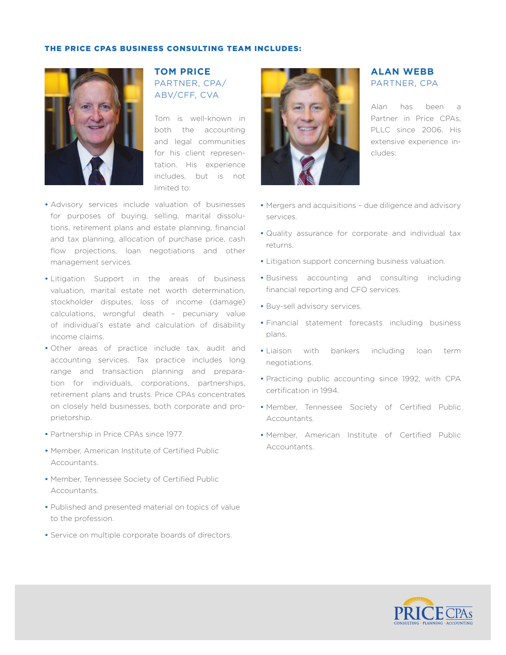#### THE PRICE CPAS BUSINESS CONSULTING TEAM INCLUDES:



## **TOM PRICE**  PARTNER, CPA/ ABV/CFF, CVA

Tom is well-known in both the accounting and legal communities for his client representation. His experience includes, but is not limited to:

- Advisory services include valuation of businesses for purposes of buying, selling, marital dissolutions, retirement plans and estate planning, financial and tax planning, allocation of purchase price, cash flow projections, loan negotiations and other management services.
- Litigation Support in the areas of business valuation, marital estate net worth determination, stockholder disputes, loss of income (damage) calculations, wrongful death – pecuniary value of individual's estate and calculation of disability income claims.
- Other areas of practice include tax, audit and accounting services. Tax practice includes long range and transaction planning and preparation for individuals, corporations, partnerships, retirement plans and trusts. Price CPAs concentrates on closely held businesses, both corporate and proprietorship.
- Partnership in Price CPAs since 1977.
- Member, American Institute of Certified Public Accountants.
- Member, Tennessee Society of Certified Public Accountants.
- Published and presented material on topics of value to the profession.
- Service on multiple corporate boards of directors.



### **ALAN WEBB**  PARTNER, CPA

Alan has been a Partner in Price CPAs, PLLC since 2006. His extensive experience includes:

- Mergers and acquisitions due diligence and advisory services.
- Quality assurance for corporate and individual tax returns.
- Litigation support concerning business valuation.
- Business accounting and consulting including financial reporting and CFO services.
- Buy-sell advisory services.
- Financial statement forecasts including business plans.
- Liaison with bankers including loan term negotiations.
- Practicing public accounting since 1992, with CPA certification in 1994.
- Member, Tennessee Society of Certified Public Accountants.
- Member, American Institute of Certified Public Accountants.